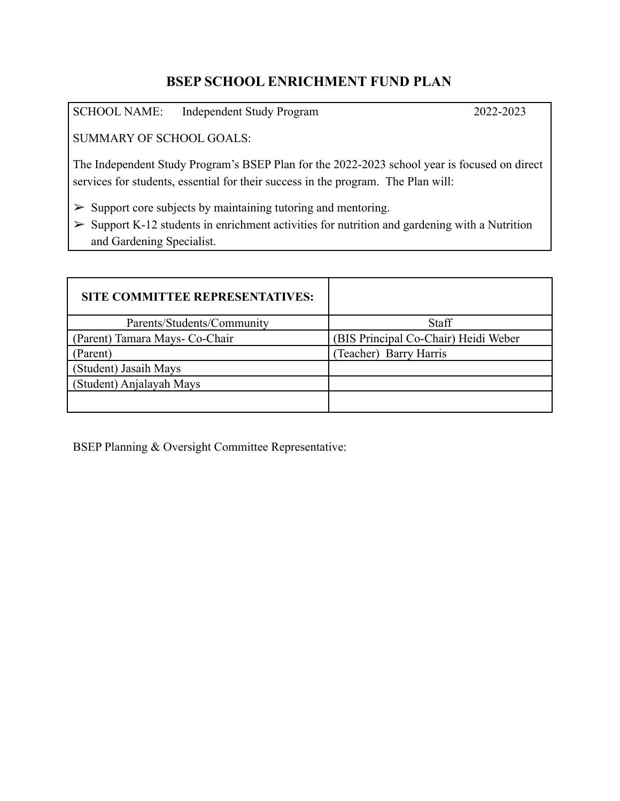## **BSEP SCHOOL ENRICHMENT FUND PLAN**

SCHOOL NAME: Independent Study Program 2022-2023

SUMMARY OF SCHOOL GOALS:

The Independent Study Program's BSEP Plan for the 2022-2023 school year is focused on direct services for students, essential for their success in the program. The Plan will:

 $\geq$  Support core subjects by maintaining tutoring and mentoring.

 $\geq$  Support K-12 students in enrichment activities for nutrition and gardening with a Nutrition and Gardening Specialist.

| <b>SITE COMMITTEE REPRESENTATIVES:</b> |                                      |
|----------------------------------------|--------------------------------------|
| Parents/Students/Community             | Staff                                |
| (Parent) Tamara Mays- Co-Chair         | (BIS Principal Co-Chair) Heidi Weber |
| Parent)                                | Teacher) Barry Harris                |
| (Student) Jasaih Mays                  |                                      |
| (Student) Anjalayah Mays               |                                      |
|                                        |                                      |

BSEP Planning & Oversight Committee Representative: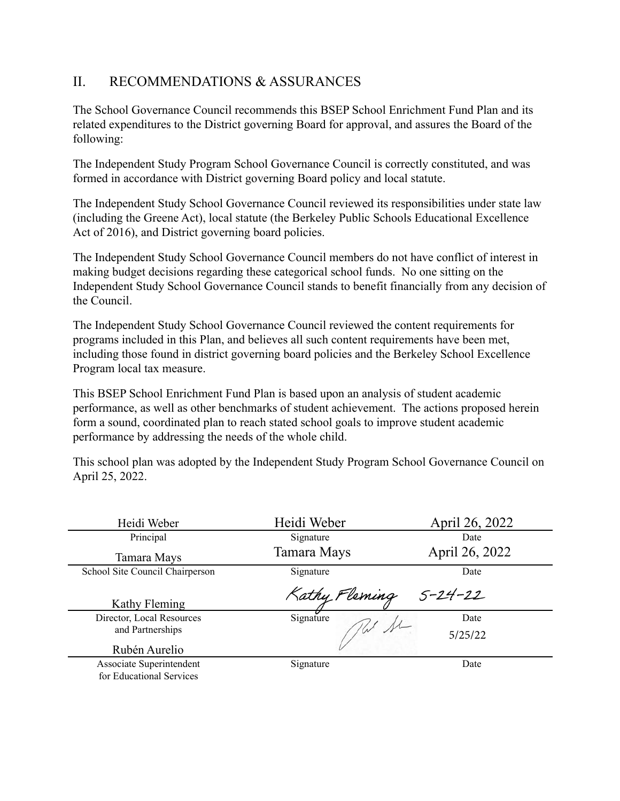## II. RECOMMENDATIONS & ASSURANCES

The School Governance Council recommends this BSEP School Enrichment Fund Plan and its related expenditures to the District governing Board for approval, and assures the Board of the following:

The Independent Study Program School Governance Council is correctly constituted, and was formed in accordance with District governing Board policy and local statute.

The Independent Study School Governance Council reviewed its responsibilities under state law (including the Greene Act), local statute (the Berkeley Public Schools Educational Excellence Act of 2016), and District governing board policies.

The Independent Study School Governance Council members do not have conflict of interest in making budget decisions regarding these categorical school funds. No one sitting on the Independent Study School Governance Council stands to benefit financially from any decision of the Council.

The Independent Study School Governance Council reviewed the content requirements for programs included in this Plan, and believes all such content requirements have been met, including those found in district governing board policies and the Berkeley School Excellence Program local tax measure.

This BSEP School Enrichment Fund Plan is based upon an analysis of student academic performance, as well as other benchmarks of student achievement. The actions proposed herein form a sound, coordinated plan to reach stated school goals to improve student academic performance by addressing the needs of the whole child.

This school plan was adopted by the Independent Study Program School Governance Council on April 25, 2022.

| Heidi Weber                                          | Heidi Weber           | April 26, 2022 |
|------------------------------------------------------|-----------------------|----------------|
| Principal                                            | Signature             | Date           |
| Tamara Mays                                          | Tamara Mays           | April 26, 2022 |
| School Site Council Chairperson                      | Signature             | Date           |
| Kathy Fleming                                        | Kathy Fleming 5-24-22 |                |
| Director, Local Resources                            | Signature             | Date           |
| and Partnerships                                     |                       | 5/25/22        |
| Rubén Aurelio                                        |                       |                |
| Associate Superintendent<br>for Educational Services | Signature             | Date           |